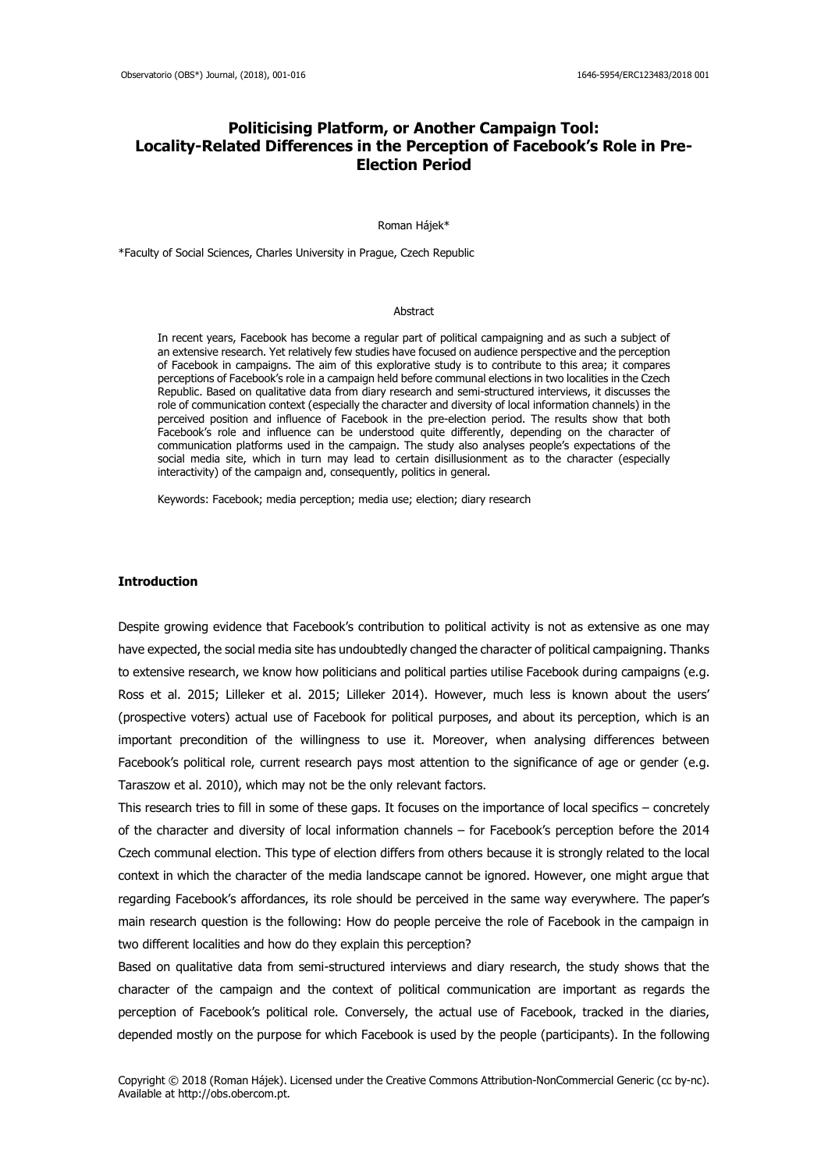# **Politicising Platform, or Another Campaign Tool: Locality-Related Differences in the Perception of Facebook's Role in Pre-Election Period**

Roman Hájek\*

\*Faculty of Social Sciences, Charles University in Prague, Czech Republic

## Abstract

In recent years, Facebook has become a regular part of political campaigning and as such a subject of an extensive research. Yet relatively few studies have focused on audience perspective and the perception of Facebook in campaigns. The aim of this explorative study is to contribute to this area; it compares perceptions of Facebook's role in a campaign held before communal elections in two localities in the Czech Republic. Based on qualitative data from diary research and semi-structured interviews, it discusses the role of communication context (especially the character and diversity of local information channels) in the perceived position and influence of Facebook in the pre-election period. The results show that both Facebook's role and influence can be understood quite differently, depending on the character of communication platforms used in the campaign. The study also analyses people's expectations of the social media site, which in turn may lead to certain disillusionment as to the character (especially interactivity) of the campaign and, consequently, politics in general.

Keywords: Facebook; media perception; media use; election; diary research

## **Introduction**

Despite growing evidence that Facebook's contribution to political activity is not as extensive as one may have expected, the social media site has undoubtedly changed the character of political campaigning. Thanks to extensive research, we know how politicians and political parties utilise Facebook during campaigns (e.g. Ross et al. 2015; Lilleker et al. 2015; Lilleker 2014). However, much less is known about the users' (prospective voters) actual use of Facebook for political purposes, and about its perception, which is an important precondition of the willingness to use it. Moreover, when analysing differences between Facebook's political role, current research pays most attention to the significance of age or gender (e.g. Taraszow et al. 2010), which may not be the only relevant factors.

This research tries to fill in some of these gaps. It focuses on the importance of local specifics – concretely of the character and diversity of local information channels – for Facebook's perception before the 2014 Czech communal election. This type of election differs from others because it is strongly related to the local context in which the character of the media landscape cannot be ignored. However, one might argue that regarding Facebook's affordances, its role should be perceived in the same way everywhere. The paper's main research question is the following: How do people perceive the role of Facebook in the campaign in two different localities and how do they explain this perception?

Based on qualitative data from semi-structured interviews and diary research, the study shows that the character of the campaign and the context of political communication are important as regards the perception of Facebook's political role. Conversely, the actual use of Facebook, tracked in the diaries, depended mostly on the purpose for which Facebook is used by the people (participants). In the following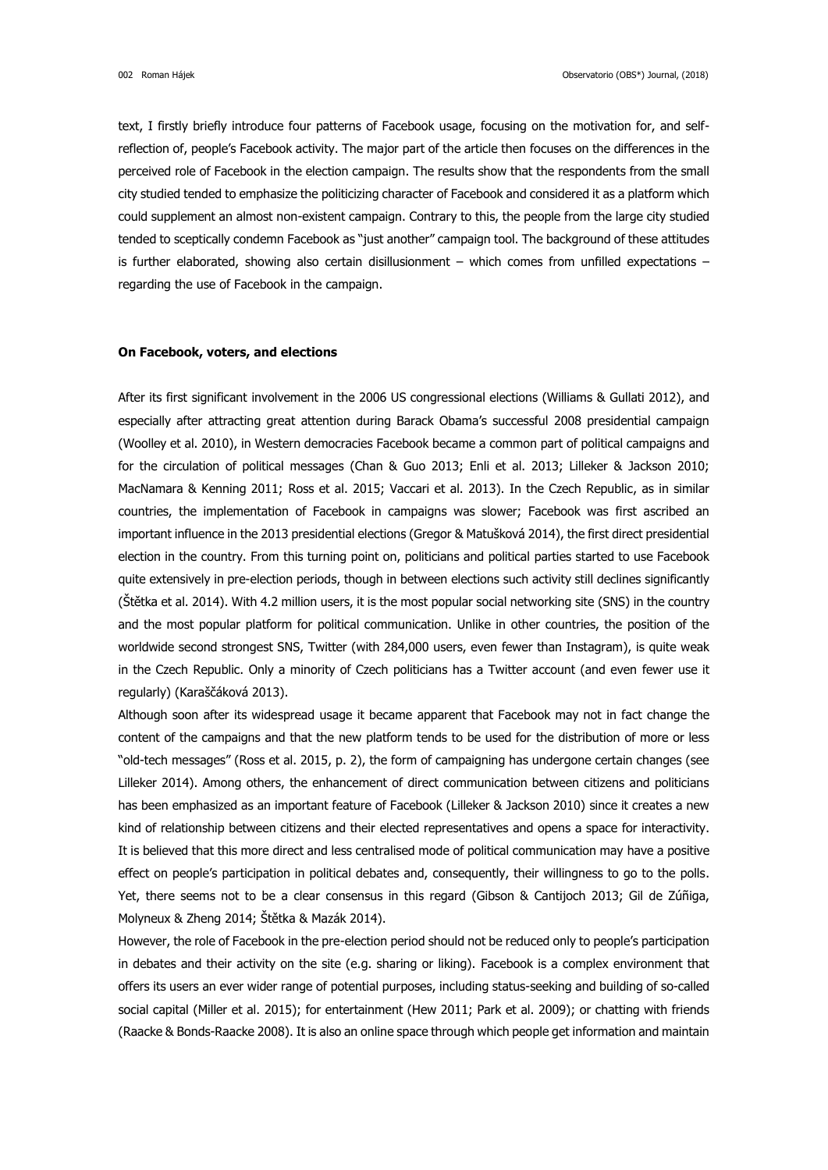text, I firstly briefly introduce four patterns of Facebook usage, focusing on the motivation for, and selfreflection of, people's Facebook activity. The major part of the article then focuses on the differences in the perceived role of Facebook in the election campaign. The results show that the respondents from the small city studied tended to emphasize the politicizing character of Facebook and considered it as a platform which could supplement an almost non-existent campaign. Contrary to this, the people from the large city studied tended to sceptically condemn Facebook as "just another" campaign tool. The background of these attitudes is further elaborated, showing also certain disillusionment – which comes from unfilled expectations – regarding the use of Facebook in the campaign.

# **On Facebook, voters, and elections**

After its first significant involvement in the 2006 US congressional elections (Williams & Gullati 2012), and especially after attracting great attention during Barack Obama's successful 2008 presidential campaign (Woolley et al. 2010), in Western democracies Facebook became a common part of political campaigns and for the circulation of political messages (Chan & Guo 2013; Enli et al. 2013; Lilleker & Jackson 2010; MacNamara & Kenning 2011; Ross et al. 2015; Vaccari et al. 2013). In the Czech Republic, as in similar countries, the implementation of Facebook in campaigns was slower; Facebook was first ascribed an important influence in the 2013 presidential elections (Gregor & Matušková 2014), the first direct presidential election in the country. From this turning point on, politicians and political parties started to use Facebook quite extensively in pre-election periods, though in between elections such activity still declines significantly (Štětka et al. 2014). With 4.2 million users, it is the most popular social networking site (SNS) in the country and the most popular platform for political communication. Unlike in other countries, the position of the worldwide second strongest SNS, Twitter (with 284,000 users, even fewer than Instagram), is quite weak in the Czech Republic. Only a minority of Czech politicians has a Twitter account (and even fewer use it regularly) (Karaščáková 2013).

Although soon after its widespread usage it became apparent that Facebook may not in fact change the content of the campaigns and that the new platform tends to be used for the distribution of more or less "old-tech messages" (Ross et al. 2015, p. 2), the form of campaigning has undergone certain changes (see Lilleker 2014). Among others, the enhancement of direct communication between citizens and politicians has been emphasized as an important feature of Facebook (Lilleker & Jackson 2010) since it creates a new kind of relationship between citizens and their elected representatives and opens a space for interactivity. It is believed that this more direct and less centralised mode of political communication may have a positive effect on people's participation in political debates and, consequently, their willingness to go to the polls. Yet, there seems not to be a clear consensus in this regard (Gibson & Cantijoch 2013; Gil de Zúñiga, Molyneux & Zheng 2014; Štětka & Mazák 2014).

However, the role of Facebook in the pre-election period should not be reduced only to people's participation in debates and their activity on the site (e.g. sharing or liking). Facebook is a complex environment that offers its users an ever wider range of potential purposes, including status-seeking and building of so-called social capital (Miller et al. 2015); for entertainment (Hew 2011; Park et al. 2009); or chatting with friends (Raacke & Bonds-Raacke 2008). It is also an online space through which people get information and maintain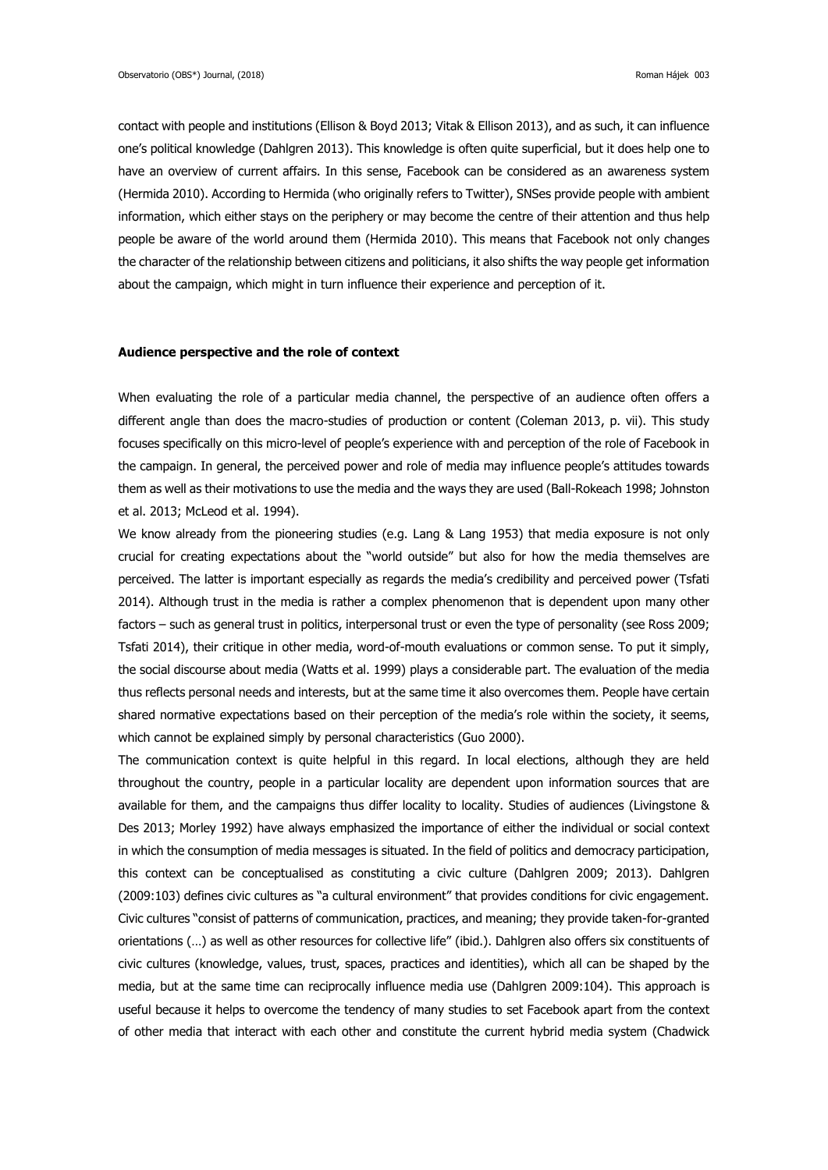contact with people and institutions (Ellison & Boyd 2013; Vitak & Ellison 2013), and as such, it can influence one's political knowledge (Dahlgren 2013). This knowledge is often quite superficial, but it does help one to have an overview of current affairs. In this sense, Facebook can be considered as an awareness system (Hermida 2010). According to Hermida (who originally refers to Twitter), SNSes provide people with ambient information, which either stays on the periphery or may become the centre of their attention and thus help people be aware of the world around them (Hermida 2010). This means that Facebook not only changes the character of the relationship between citizens and politicians, it also shifts the way people get information about the campaign, which might in turn influence their experience and perception of it.

## **Audience perspective and the role of context**

When evaluating the role of a particular media channel, the perspective of an audience often offers a different angle than does the macro-studies of production or content (Coleman 2013, p. vii). This study focuses specifically on this micro-level of people's experience with and perception of the role of Facebook in the campaign. In general, the perceived power and role of media may influence people's attitudes towards them as well as their motivations to use the media and the ways they are used (Ball-Rokeach 1998; Johnston et al. 2013; McLeod et al. 1994).

We know already from the pioneering studies (e.g. Lang & Lang 1953) that media exposure is not only crucial for creating expectations about the "world outside" but also for how the media themselves are perceived. The latter is important especially as regards the media's credibility and perceived power (Tsfati 2014). Although trust in the media is rather a complex phenomenon that is dependent upon many other factors – such as general trust in politics, interpersonal trust or even the type of personality (see Ross 2009; Tsfati 2014), their critique in other media, word-of-mouth evaluations or common sense. To put it simply, the social discourse about media (Watts et al. 1999) plays a considerable part. The evaluation of the media thus reflects personal needs and interests, but at the same time it also overcomes them. People have certain shared normative expectations based on their perception of the media's role within the society, it seems, which cannot be explained simply by personal characteristics (Guo 2000).

The communication context is quite helpful in this regard. In local elections, although they are held throughout the country, people in a particular locality are dependent upon information sources that are available for them, and the campaigns thus differ locality to locality. Studies of audiences (Livingstone & Des 2013; Morley 1992) have always emphasized the importance of either the individual or social context in which the consumption of media messages is situated. In the field of politics and democracy participation, this context can be conceptualised as constituting a civic culture (Dahlgren 2009; 2013). Dahlgren (2009:103) defines civic cultures as "a cultural environment" that provides conditions for civic engagement. Civic cultures "consist of patterns of communication, practices, and meaning; they provide taken-for-granted orientations (…) as well as other resources for collective life" (ibid.). Dahlgren also offers six constituents of civic cultures (knowledge, values, trust, spaces, practices and identities), which all can be shaped by the media, but at the same time can reciprocally influence media use (Dahlgren 2009:104). This approach is useful because it helps to overcome the tendency of many studies to set Facebook apart from the context of other media that interact with each other and constitute the current hybrid media system (Chadwick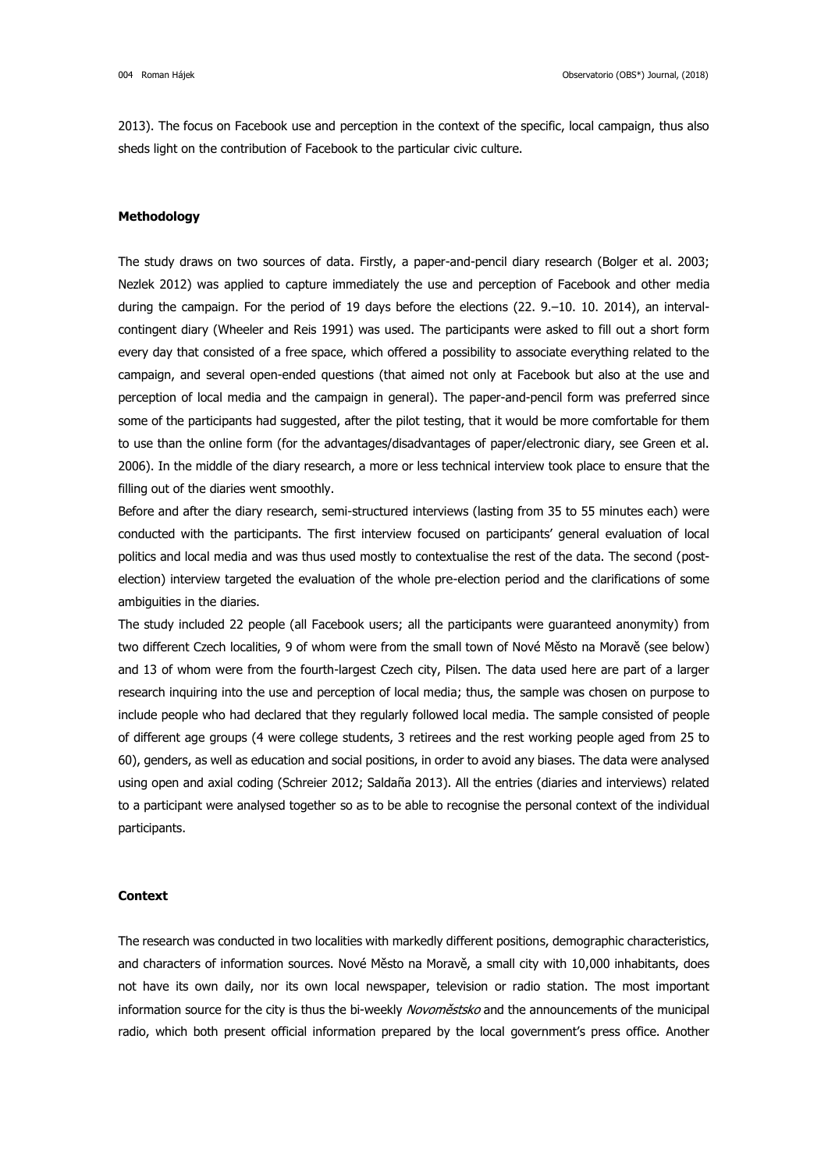2013). The focus on Facebook use and perception in the context of the specific, local campaign, thus also sheds light on the contribution of Facebook to the particular civic culture.

#### **Methodology**

The study draws on two sources of data. Firstly, a paper-and-pencil diary research (Bolger et al. 2003; Nezlek 2012) was applied to capture immediately the use and perception of Facebook and other media during the campaign. For the period of 19 days before the elections (22. 9.–10. 10. 2014), an intervalcontingent diary (Wheeler and Reis 1991) was used. The participants were asked to fill out a short form every day that consisted of a free space, which offered a possibility to associate everything related to the campaign, and several open-ended questions (that aimed not only at Facebook but also at the use and perception of local media and the campaign in general). The paper-and-pencil form was preferred since some of the participants had suggested, after the pilot testing, that it would be more comfortable for them to use than the online form (for the advantages/disadvantages of paper/electronic diary, see Green et al. 2006). In the middle of the diary research, a more or less technical interview took place to ensure that the filling out of the diaries went smoothly.

Before and after the diary research, semi-structured interviews (lasting from 35 to 55 minutes each) were conducted with the participants. The first interview focused on participants' general evaluation of local politics and local media and was thus used mostly to contextualise the rest of the data. The second (postelection) interview targeted the evaluation of the whole pre-election period and the clarifications of some ambiguities in the diaries.

The study included 22 people (all Facebook users; all the participants were guaranteed anonymity) from two different Czech localities, 9 of whom were from the small town of Nové Město na Moravě (see below) and 13 of whom were from the fourth-largest Czech city, Pilsen. The data used here are part of a larger research inquiring into the use and perception of local media; thus, the sample was chosen on purpose to include people who had declared that they regularly followed local media. The sample consisted of people of different age groups (4 were college students, 3 retirees and the rest working people aged from 25 to 60), genders, as well as education and social positions, in order to avoid any biases. The data were analysed using open and axial coding (Schreier 2012; Saldaña 2013). All the entries (diaries and interviews) related to a participant were analysed together so as to be able to recognise the personal context of the individual participants.

## **Context**

The research was conducted in two localities with markedly different positions, demographic characteristics, and characters of information sources. Nové Město na Moravě, a small city with 10,000 inhabitants, does not have its own daily, nor its own local newspaper, television or radio station. The most important information source for the city is thus the bi-weekly *Novoměstsko* and the announcements of the municipal radio, which both present official information prepared by the local government's press office. Another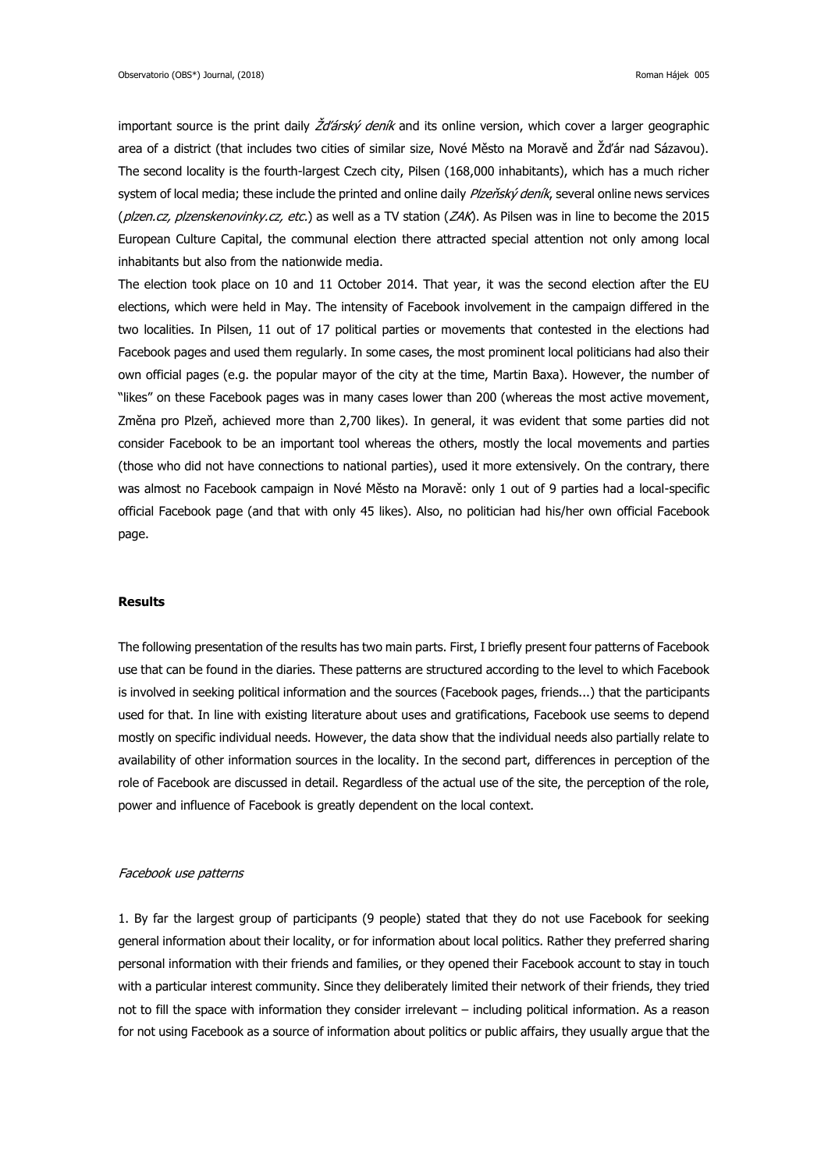important source is the print daily Zd'árský deník and its online version, which cover a larger geographic area of a district (that includes two cities of similar size, Nové Město na Moravě and Žďár nad Sázavou). The second locality is the fourth-largest Czech city, Pilsen (168,000 inhabitants), which has a much richer system of local media; these include the printed and online daily Plzeňský deník, several online news services (plzen.cz, plzenskenovinky.cz, etc.) as well as a TV station (ZAK). As Pilsen was in line to become the 2015 European Culture Capital, the communal election there attracted special attention not only among local inhabitants but also from the nationwide media.

The election took place on 10 and 11 October 2014. That year, it was the second election after the EU elections, which were held in May. The intensity of Facebook involvement in the campaign differed in the two localities. In Pilsen, 11 out of 17 political parties or movements that contested in the elections had Facebook pages and used them regularly. In some cases, the most prominent local politicians had also their own official pages (e.g. the popular mayor of the city at the time, Martin Baxa). However, the number of "likes" on these Facebook pages was in many cases lower than 200 (whereas the most active movement, Změna pro Plzeň, achieved more than 2,700 likes). In general, it was evident that some parties did not consider Facebook to be an important tool whereas the others, mostly the local movements and parties (those who did not have connections to national parties), used it more extensively. On the contrary, there was almost no Facebook campaign in Nové Město na Moravě: only 1 out of 9 parties had a local-specific official Facebook page (and that with only 45 likes). Also, no politician had his/her own official Facebook page.

# **Results**

The following presentation of the results has two main parts. First, I briefly present four patterns of Facebook use that can be found in the diaries. These patterns are structured according to the level to which Facebook is involved in seeking political information and the sources (Facebook pages, friends...) that the participants used for that. In line with existing literature about uses and gratifications, Facebook use seems to depend mostly on specific individual needs. However, the data show that the individual needs also partially relate to availability of other information sources in the locality. In the second part, differences in perception of the role of Facebook are discussed in detail. Regardless of the actual use of the site, the perception of the role, power and influence of Facebook is greatly dependent on the local context.

# Facebook use patterns

1. By far the largest group of participants (9 people) stated that they do not use Facebook for seeking general information about their locality, or for information about local politics. Rather they preferred sharing personal information with their friends and families, or they opened their Facebook account to stay in touch with a particular interest community. Since they deliberately limited their network of their friends, they tried not to fill the space with information they consider irrelevant – including political information. As a reason for not using Facebook as a source of information about politics or public affairs, they usually argue that the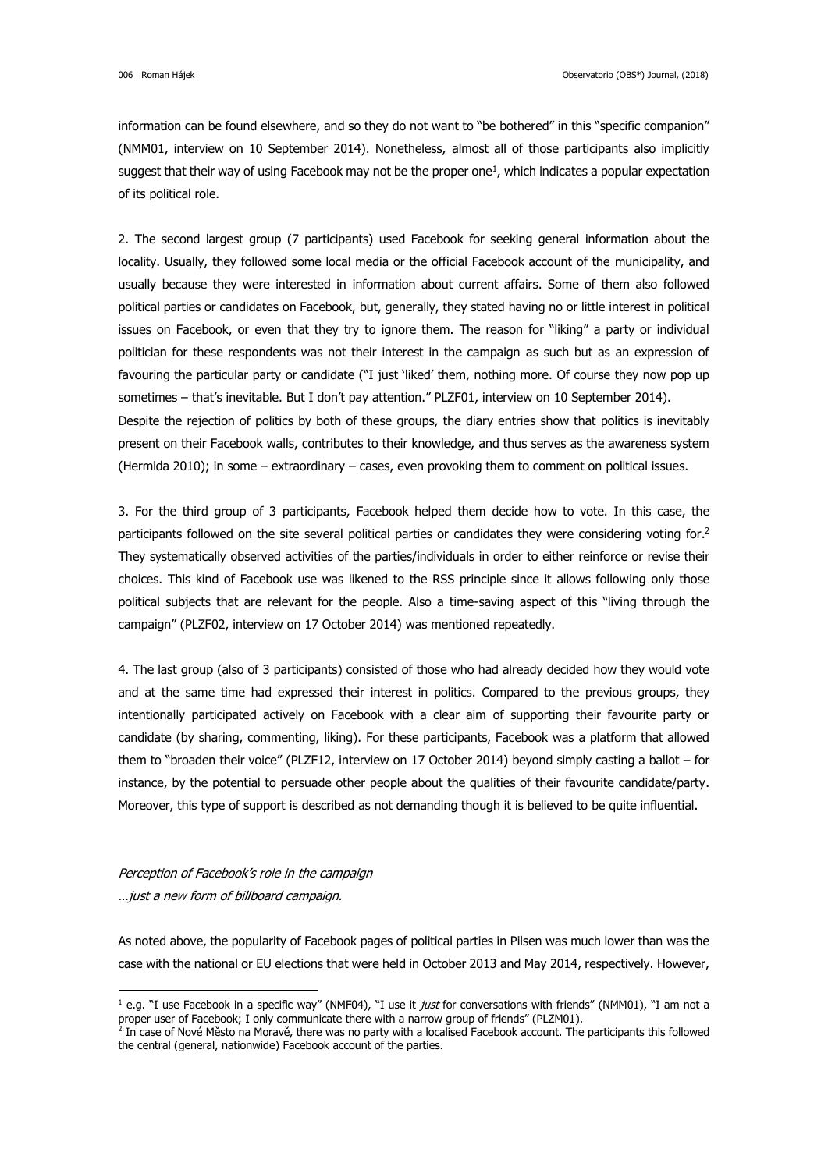information can be found elsewhere, and so they do not want to "be bothered" in this "specific companion" (NMM01, interview on 10 September 2014). Nonetheless, almost all of those participants also implicitly suggest that their way of using Facebook may not be the proper one<sup>1</sup>, which indicates a popular expectation of its political role.

2. The second largest group (7 participants) used Facebook for seeking general information about the locality. Usually, they followed some local media or the official Facebook account of the municipality, and usually because they were interested in information about current affairs. Some of them also followed political parties or candidates on Facebook, but, generally, they stated having no or little interest in political issues on Facebook, or even that they try to ignore them. The reason for "liking" a party or individual politician for these respondents was not their interest in the campaign as such but as an expression of favouring the particular party or candidate ("I just 'liked' them, nothing more. Of course they now pop up sometimes – that's inevitable. But I don't pay attention." PLZF01, interview on 10 September 2014). Despite the rejection of politics by both of these groups, the diary entries show that politics is inevitably present on their Facebook walls, contributes to their knowledge, and thus serves as the awareness system (Hermida 2010); in some – extraordinary – cases, even provoking them to comment on political issues.

3. For the third group of 3 participants, Facebook helped them decide how to vote. In this case, the participants followed on the site several political parties or candidates they were considering voting for.<sup>2</sup> They systematically observed activities of the parties/individuals in order to either reinforce or revise their choices. This kind of Facebook use was likened to the RSS principle since it allows following only those political subjects that are relevant for the people. Also a time-saving aspect of this "living through the campaign" (PLZF02, interview on 17 October 2014) was mentioned repeatedly.

4. The last group (also of 3 participants) consisted of those who had already decided how they would vote and at the same time had expressed their interest in politics. Compared to the previous groups, they intentionally participated actively on Facebook with a clear aim of supporting their favourite party or candidate (by sharing, commenting, liking). For these participants, Facebook was a platform that allowed them to "broaden their voice" (PLZF12, interview on 17 October 2014) beyond simply casting a ballot – for instance, by the potential to persuade other people about the qualities of their favourite candidate/party. Moreover, this type of support is described as not demanding though it is believed to be quite influential.

# Perception of Facebook's role in the campaign …just a new form of billboard campaign.

1

As noted above, the popularity of Facebook pages of political parties in Pilsen was much lower than was the case with the national or EU elections that were held in October 2013 and May 2014, respectively. However,

<sup>&</sup>lt;sup>1</sup> e.g. "I use Facebook in a specific way" (NMF04), "I use it *just* for conversations with friends" (NMM01), "I am not a proper user of Facebook; I only communicate there with a narrow group of friends" (PLZM01).<br><sup>2</sup> In case of Nové Město na Moravě, there was no party with a localised Facebook account. The participants this followed

the central (general, nationwide) Facebook account of the parties.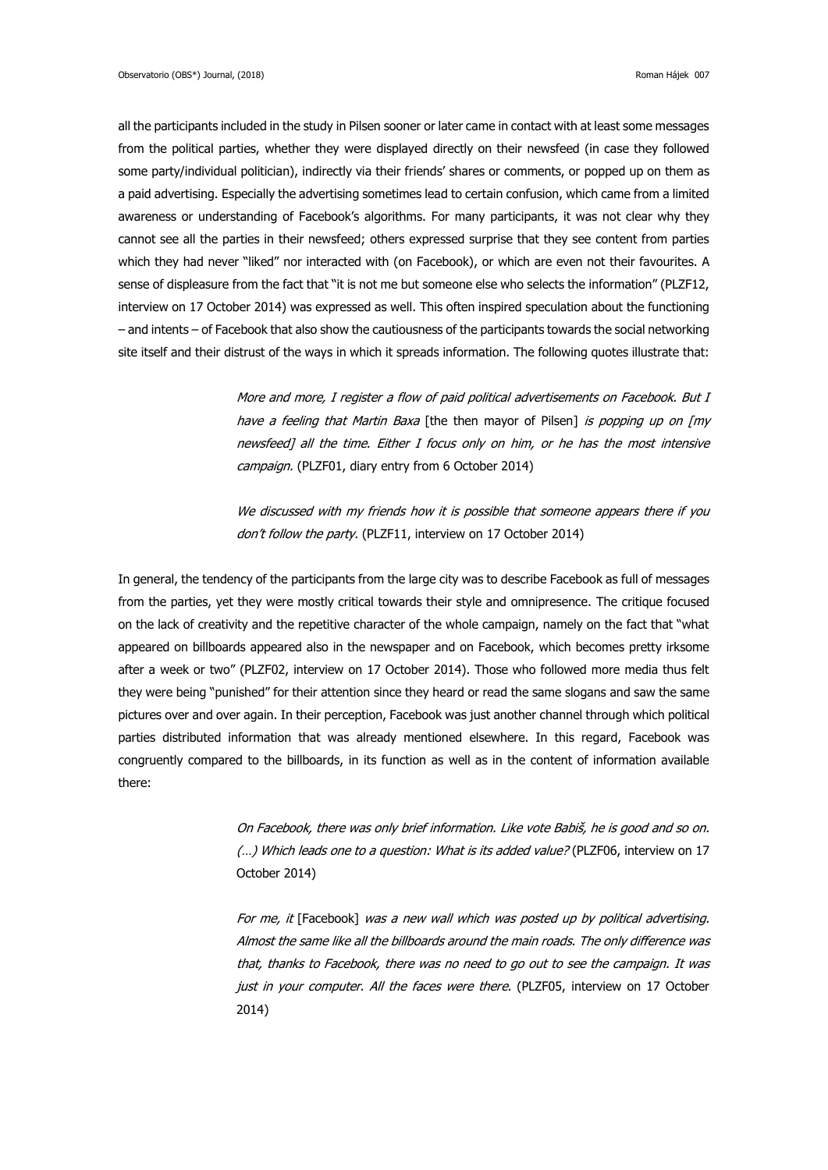all the participants included in the study in Pilsen sooner or later came in contact with at least some messages from the political parties, whether they were displayed directly on their newsfeed (in case they followed some party/individual politician), indirectly via their friends' shares or comments, or popped up on them as a paid advertising. Especially the advertising sometimes lead to certain confusion, which came from a limited awareness or understanding of Facebook's algorithms. For many participants, it was not clear why they cannot see all the parties in their newsfeed; others expressed surprise that they see content from parties which they had never "liked" nor interacted with (on Facebook), or which are even not their favourites. A sense of displeasure from the fact that "it is not me but someone else who selects the information" (PLZF12, interview on 17 October 2014) was expressed as well. This often inspired speculation about the functioning – and intents – of Facebook that also show the cautiousness of the participants towards the social networking site itself and their distrust of the ways in which it spreads information. The following quotes illustrate that:

> More and more, I register a flow of paid political advertisements on Facebook. But I have a feeling that Martin Baxa [the then mayor of Pilsen] is popping up on [my newsfeed] all the time. Either I focus only on him, or he has the most intensive campaign. (PLZF01, diary entry from 6 October 2014)

> We discussed with my friends how it is possible that someone appears there if you don't follow the party. (PLZF11, interview on 17 October 2014)

In general, the tendency of the participants from the large city was to describe Facebook as full of messages from the parties, yet they were mostly critical towards their style and omnipresence. The critique focused on the lack of creativity and the repetitive character of the whole campaign, namely on the fact that "what appeared on billboards appeared also in the newspaper and on Facebook, which becomes pretty irksome after a week or two" (PLZF02, interview on 17 October 2014). Those who followed more media thus felt they were being "punished" for their attention since they heard or read the same slogans and saw the same pictures over and over again. In their perception, Facebook was just another channel through which political parties distributed information that was already mentioned elsewhere. In this regard, Facebook was congruently compared to the billboards, in its function as well as in the content of information available there:

> On Facebook, there was only brief information. Like vote Babiš, he is good and so on. (...) Which leads one to a question: What is its added value? (PLZF06, interview on 17 October 2014)

> For me, it [Facebook] was a new wall which was posted up by political advertising. Almost the same like all the billboards around the main roads. The only difference was that, thanks to Facebook, there was no need to go out to see the campaign. It was just in your computer. All the faces were there. (PLZF05, interview on 17 October 2014)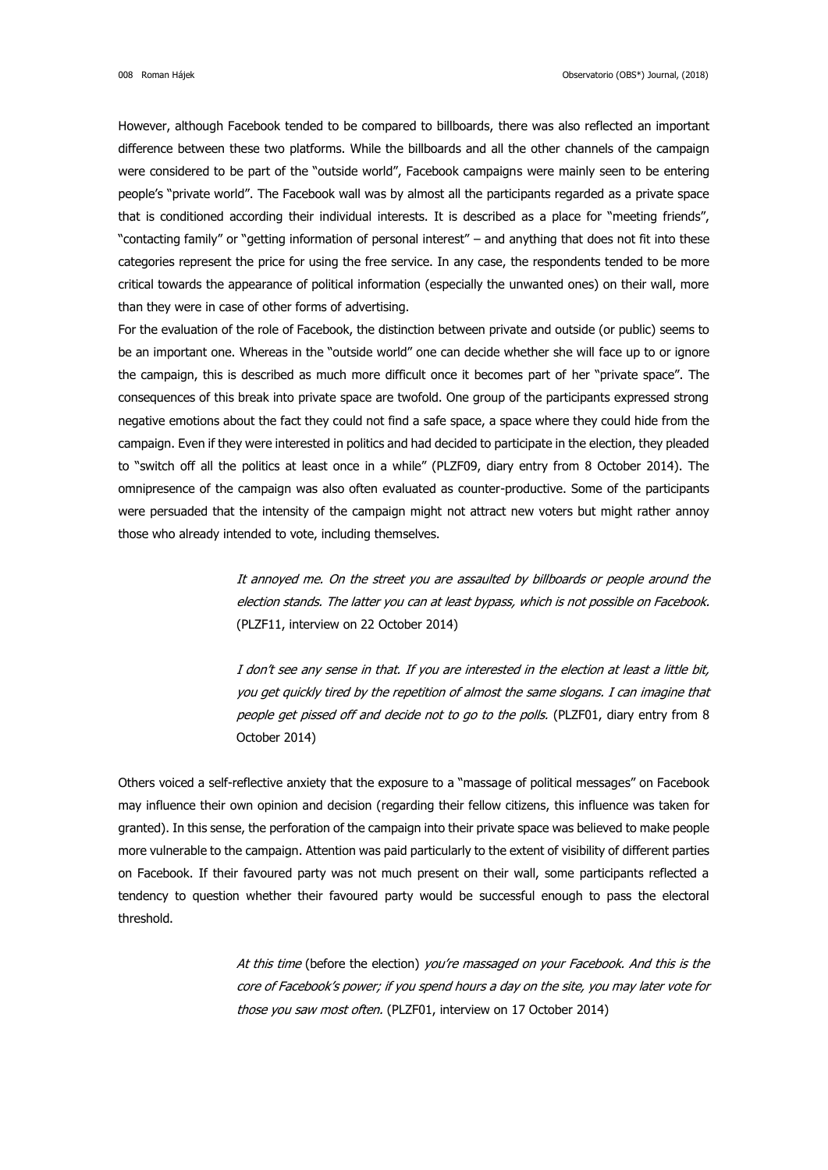However, although Facebook tended to be compared to billboards, there was also reflected an important difference between these two platforms. While the billboards and all the other channels of the campaign were considered to be part of the "outside world", Facebook campaigns were mainly seen to be entering people's "private world". The Facebook wall was by almost all the participants regarded as a private space that is conditioned according their individual interests. It is described as a place for "meeting friends", "contacting family" or "getting information of personal interest" – and anything that does not fit into these categories represent the price for using the free service. In any case, the respondents tended to be more critical towards the appearance of political information (especially the unwanted ones) on their wall, more than they were in case of other forms of advertising.

For the evaluation of the role of Facebook, the distinction between private and outside (or public) seems to be an important one. Whereas in the "outside world" one can decide whether she will face up to or ignore the campaign, this is described as much more difficult once it becomes part of her "private space". The consequences of this break into private space are twofold. One group of the participants expressed strong negative emotions about the fact they could not find a safe space, a space where they could hide from the campaign. Even if they were interested in politics and had decided to participate in the election, they pleaded to "switch off all the politics at least once in a while" (PLZF09, diary entry from 8 October 2014). The omnipresence of the campaign was also often evaluated as counter-productive. Some of the participants were persuaded that the intensity of the campaign might not attract new voters but might rather annoy those who already intended to vote, including themselves.

> It annoyed me. On the street you are assaulted by billboards or people around the election stands. The latter you can at least bypass, which is not possible on Facebook. (PLZF11, interview on 22 October 2014)

> I don't see any sense in that. If you are interested in the election at least a little bit, you get quickly tired by the repetition of almost the same slogans. I can imagine that people get pissed off and decide not to go to the polls. (PLZF01, diary entry from 8 October 2014)

Others voiced a self-reflective anxiety that the exposure to a "massage of political messages" on Facebook may influence their own opinion and decision (regarding their fellow citizens, this influence was taken for granted). In this sense, the perforation of the campaign into their private space was believed to make people more vulnerable to the campaign. Attention was paid particularly to the extent of visibility of different parties on Facebook. If their favoured party was not much present on their wall, some participants reflected a tendency to question whether their favoured party would be successful enough to pass the electoral threshold.

> At this time (before the election) you're massaged on your Facebook. And this is the core of Facebook's power; if you spend hours a day on the site, you may later vote for those you saw most often. (PLZF01, interview on 17 October 2014)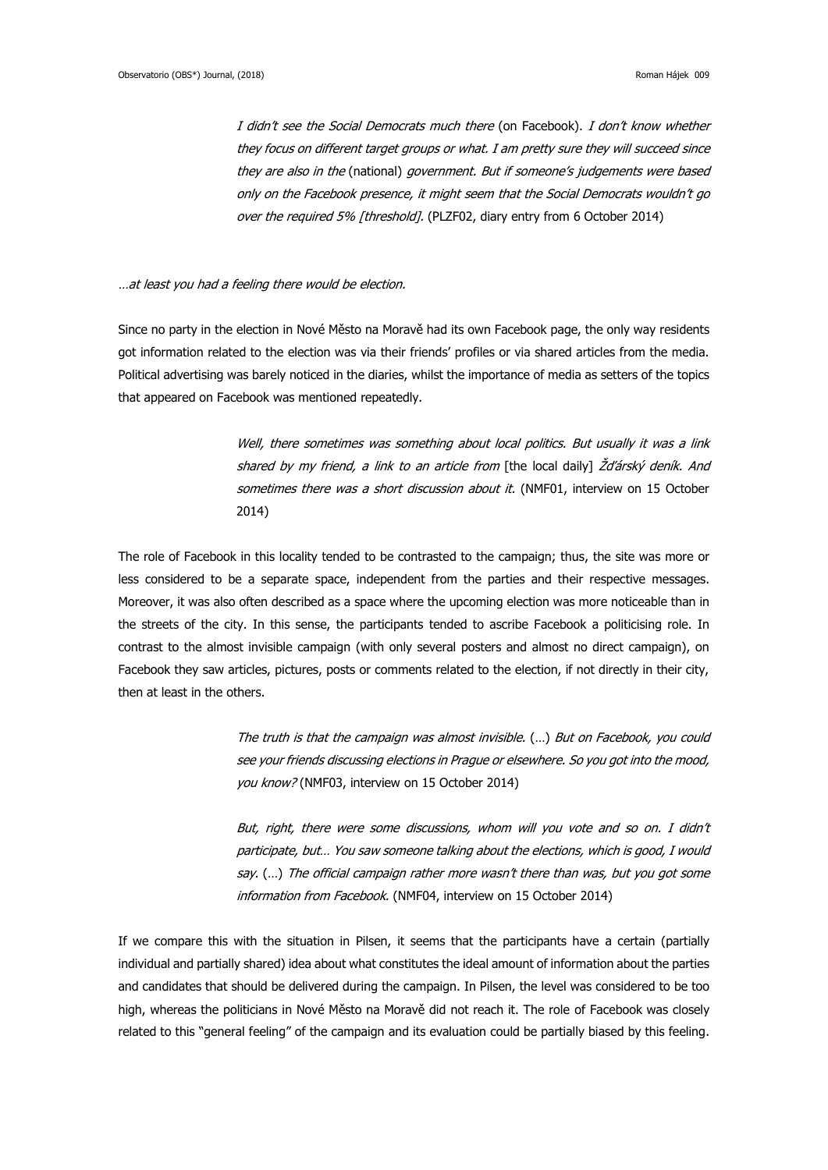I didn't see the Social Democrats much there (on Facebook). I don't know whether they focus on different target groups or what. I am pretty sure they will succeed since they are also in the (national) government. But if someone's judgements were based only on the Facebook presence, it might seem that the Social Democrats wouldn't go over the required 5% [threshold]. (PLZF02, diary entry from 6 October 2014)

# …at least you had a feeling there would be election.

Since no party in the election in Nové Město na Moravě had its own Facebook page, the only way residents got information related to the election was via their friends' profiles or via shared articles from the media. Political advertising was barely noticed in the diaries, whilst the importance of media as setters of the topics that appeared on Facebook was mentioned repeatedly.

> Well, there sometimes was something about local politics. But usually it was a link shared by my friend, a link to an article from [the local daily]  $\zeta d\zeta$  deník. And sometimes there was a short discussion about it. (NMF01, interview on 15 October 2014)

The role of Facebook in this locality tended to be contrasted to the campaign; thus, the site was more or less considered to be a separate space, independent from the parties and their respective messages. Moreover, it was also often described as a space where the upcoming election was more noticeable than in the streets of the city. In this sense, the participants tended to ascribe Facebook a politicising role. In contrast to the almost invisible campaign (with only several posters and almost no direct campaign), on Facebook they saw articles, pictures, posts or comments related to the election, if not directly in their city, then at least in the others.

> The truth is that the campaign was almost invisible. (…) But on Facebook, you could see your friends discussing elections in Prague or elsewhere. So you got into the mood, you know? (NMF03, interview on 15 October 2014)

> But, right, there were some discussions, whom will you vote and so on. I didn't participate, but… You saw someone talking about the elections, which is good, I would say. (…) The official campaign rather more wasn't there than was, but you got some information from Facebook. (NMF04, interview on 15 October 2014)

If we compare this with the situation in Pilsen, it seems that the participants have a certain (partially individual and partially shared) idea about what constitutes the ideal amount of information about the parties and candidates that should be delivered during the campaign. In Pilsen, the level was considered to be too high, whereas the politicians in Nové Město na Moravě did not reach it. The role of Facebook was closely related to this "general feeling" of the campaign and its evaluation could be partially biased by this feeling.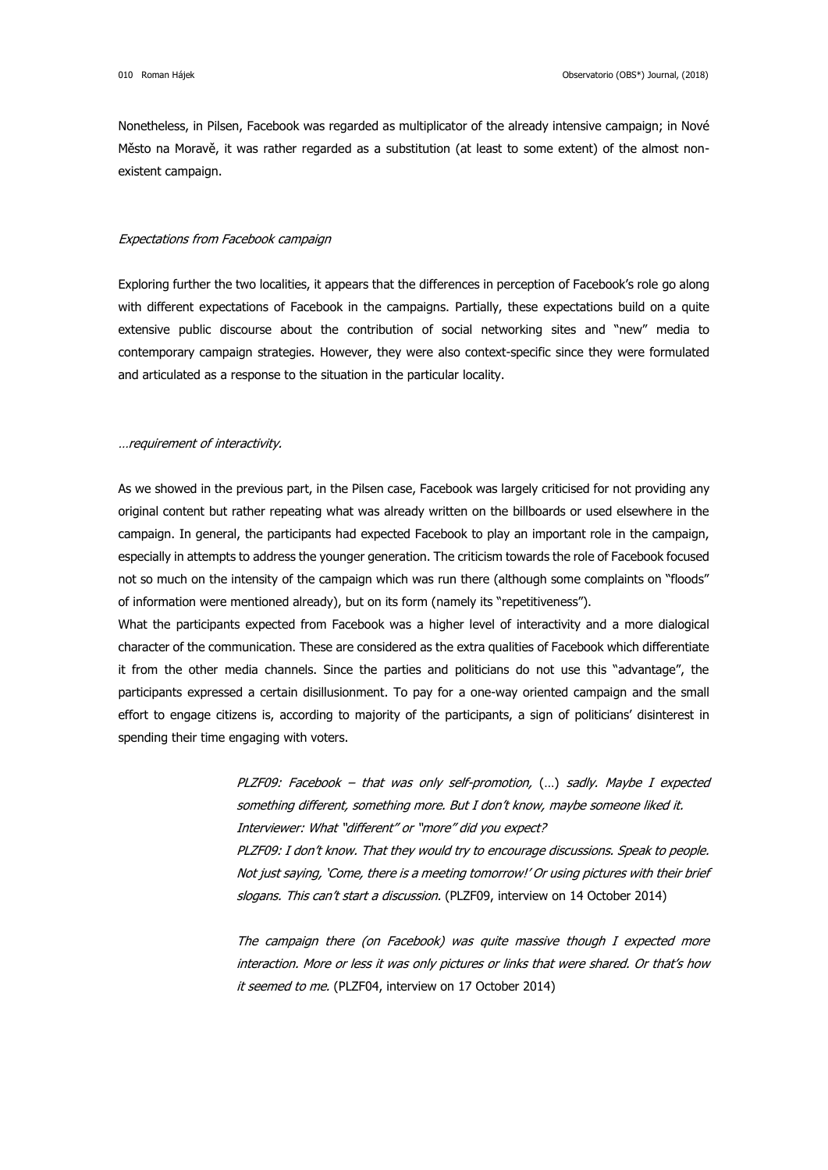Nonetheless, in Pilsen, Facebook was regarded as multiplicator of the already intensive campaign; in Nové Město na Moravě, it was rather regarded as a substitution (at least to some extent) of the almost nonexistent campaign.

## Expectations from Facebook campaign

Exploring further the two localities, it appears that the differences in perception of Facebook's role go along with different expectations of Facebook in the campaigns. Partially, these expectations build on a quite extensive public discourse about the contribution of social networking sites and "new" media to contemporary campaign strategies. However, they were also context-specific since they were formulated and articulated as a response to the situation in the particular locality.

## …requirement of interactivity.

As we showed in the previous part, in the Pilsen case, Facebook was largely criticised for not providing any original content but rather repeating what was already written on the billboards or used elsewhere in the campaign. In general, the participants had expected Facebook to play an important role in the campaign, especially in attempts to address the younger generation. The criticism towards the role of Facebook focused not so much on the intensity of the campaign which was run there (although some complaints on "floods" of information were mentioned already), but on its form (namely its "repetitiveness").

What the participants expected from Facebook was a higher level of interactivity and a more dialogical character of the communication. These are considered as the extra qualities of Facebook which differentiate it from the other media channels. Since the parties and politicians do not use this "advantage", the participants expressed a certain disillusionment. To pay for a one-way oriented campaign and the small effort to engage citizens is, according to majority of the participants, a sign of politicians' disinterest in spending their time engaging with voters.

> PLZF09: Facebook – that was only self-promotion, (…) sadly. Maybe I expected something different, something more. But I don't know, maybe someone liked it. Interviewer: What "different" or "more" did you expect? PLZF09: I don't know. That they would try to encourage discussions. Speak to people. Not just saying, 'Come, there is a meeting tomorrow!' Or using pictures with their brief slogans. This can't start a discussion. (PLZF09, interview on 14 October 2014)

> The campaign there (on Facebook) was quite massive though I expected more interaction. More or less it was only pictures or links that were shared. Or that's how it seemed to me. (PLZF04, interview on 17 October 2014)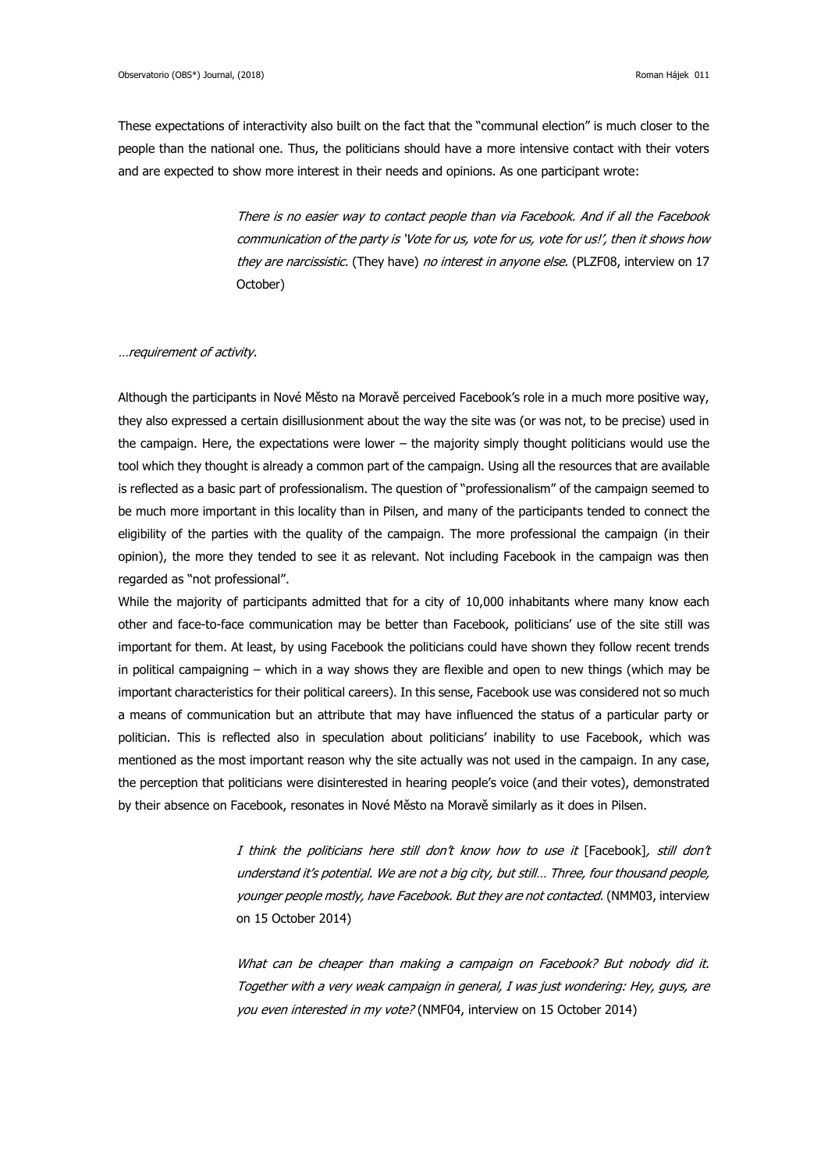These expectations of interactivity also built on the fact that the "communal election" is much closer to the people than the national one. Thus, the politicians should have a more intensive contact with their voters and are expected to show more interest in their needs and opinions. As one participant wrote:

> There is no easier way to contact people than via Facebook. And if all the Facebook communication of the party is 'Vote for us, vote for us, vote for us!', then it shows how they are narcissistic. (They have) no interest in anyone else. (PLZF08, interview on 17 October)

## …requirement of activity.

Although the participants in Nové Město na Moravě perceived Facebook's role in a much more positive way, they also expressed a certain disillusionment about the way the site was (or was not, to be precise) used in the campaign. Here, the expectations were lower – the majority simply thought politicians would use the tool which they thought is already a common part of the campaign. Using all the resources that are available is reflected as a basic part of professionalism. The question of "professionalism" of the campaign seemed to be much more important in this locality than in Pilsen, and many of the participants tended to connect the eligibility of the parties with the quality of the campaign. The more professional the campaign (in their opinion), the more they tended to see it as relevant. Not including Facebook in the campaign was then regarded as "not professional".

While the majority of participants admitted that for a city of 10,000 inhabitants where many know each other and face-to-face communication may be better than Facebook, politicians' use of the site still was important for them. At least, by using Facebook the politicians could have shown they follow recent trends in political campaigning – which in a way shows they are flexible and open to new things (which may be important characteristics for their political careers). In this sense, Facebook use was considered not so much a means of communication but an attribute that may have influenced the status of a particular party or politician. This is reflected also in speculation about politicians' inability to use Facebook, which was mentioned as the most important reason why the site actually was not used in the campaign. In any case, the perception that politicians were disinterested in hearing people's voice (and their votes), demonstrated by their absence on Facebook, resonates in Nové Město na Moravě similarly as it does in Pilsen.

> I think the politicians here still don't know how to use it [Facebook], still don't understand it's potential. We are not a big city, but still… Three, four thousand people, younger people mostly, have Facebook. But they are not contacted. (NMM03, interview on 15 October 2014)

> What can be cheaper than making a campaign on Facebook? But nobody did it. Together with a very weak campaign in general, I was just wondering: Hey, guys, are you even interested in my vote? (NMF04, interview on 15 October 2014)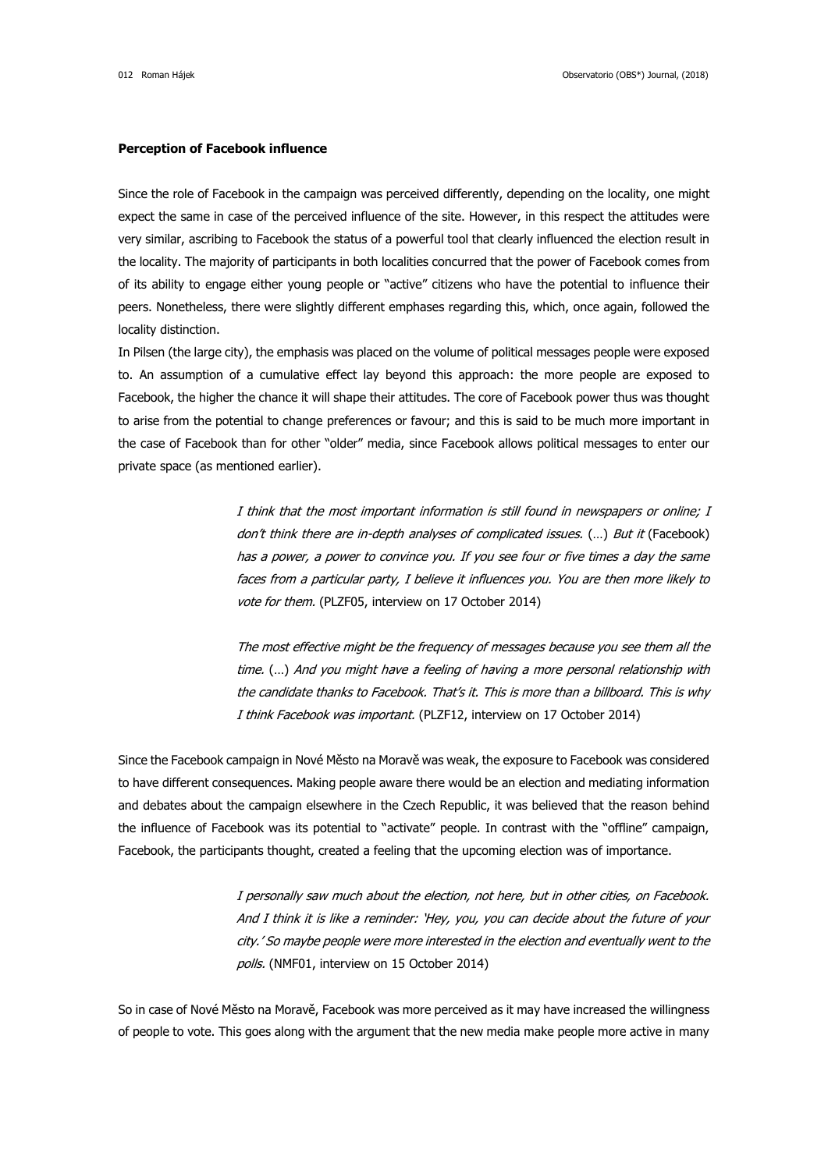## **Perception of Facebook influence**

Since the role of Facebook in the campaign was perceived differently, depending on the locality, one might expect the same in case of the perceived influence of the site. However, in this respect the attitudes were very similar, ascribing to Facebook the status of a powerful tool that clearly influenced the election result in the locality. The majority of participants in both localities concurred that the power of Facebook comes from of its ability to engage either young people or "active" citizens who have the potential to influence their peers. Nonetheless, there were slightly different emphases regarding this, which, once again, followed the locality distinction.

In Pilsen (the large city), the emphasis was placed on the volume of political messages people were exposed to. An assumption of a cumulative effect lay beyond this approach: the more people are exposed to Facebook, the higher the chance it will shape their attitudes. The core of Facebook power thus was thought to arise from the potential to change preferences or favour; and this is said to be much more important in the case of Facebook than for other "older" media, since Facebook allows political messages to enter our private space (as mentioned earlier).

> I think that the most important information is still found in newspapers or online; I don't think there are in-depth analyses of complicated issues. (…) But it (Facebook) has a power, a power to convince you. If you see four or five times a day the same faces from a particular party, I believe it influences you. You are then more likely to vote for them. (PLZF05, interview on 17 October 2014)

> The most effective might be the frequency of messages because you see them all the time. (…) And you might have a feeling of having a more personal relationship with the candidate thanks to Facebook. That's it. This is more than a billboard. This is why I think Facebook was important. (PLZF12, interview on 17 October 2014)

Since the Facebook campaign in Nové Město na Moravě was weak, the exposure to Facebook was considered to have different consequences. Making people aware there would be an election and mediating information and debates about the campaign elsewhere in the Czech Republic, it was believed that the reason behind the influence of Facebook was its potential to "activate" people. In contrast with the "offline" campaign, Facebook, the participants thought, created a feeling that the upcoming election was of importance.

> I personally saw much about the election, not here, but in other cities, on Facebook. And I think it is like a reminder: 'Hey, you, you can decide about the future of your city.' So maybe people were more interested in the election and eventually went to the polls. (NMF01, interview on 15 October 2014)

So in case of Nové Město na Moravě, Facebook was more perceived as it may have increased the willingness of people to vote. This goes along with the argument that the new media make people more active in many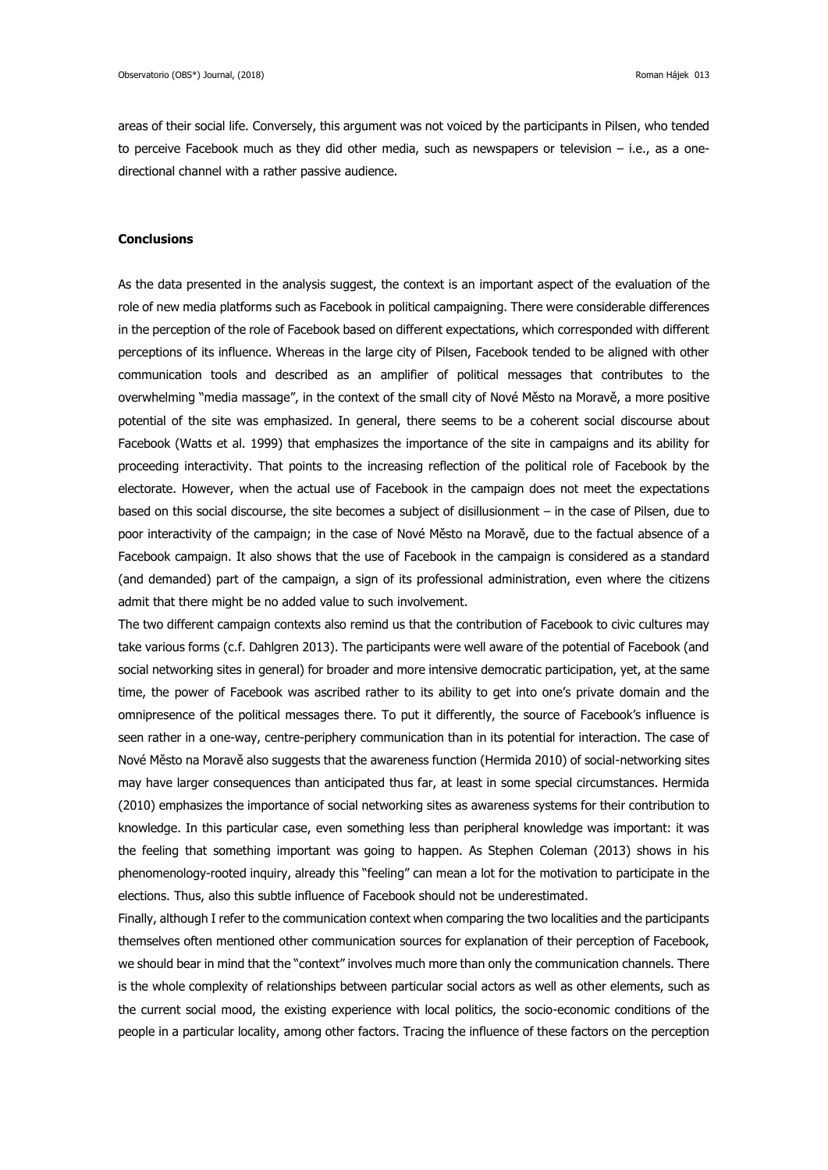areas of their social life. Conversely, this argument was not voiced by the participants in Pilsen, who tended to perceive Facebook much as they did other media, such as newspapers or television – i.e., as a onedirectional channel with a rather passive audience.

# **Conclusions**

As the data presented in the analysis suggest, the context is an important aspect of the evaluation of the role of new media platforms such as Facebook in political campaigning. There were considerable differences in the perception of the role of Facebook based on different expectations, which corresponded with different perceptions of its influence. Whereas in the large city of Pilsen, Facebook tended to be aligned with other communication tools and described as an amplifier of political messages that contributes to the overwhelming "media massage", in the context of the small city of Nové Město na Moravě, a more positive potential of the site was emphasized. In general, there seems to be a coherent social discourse about Facebook (Watts et al. 1999) that emphasizes the importance of the site in campaigns and its ability for proceeding interactivity. That points to the increasing reflection of the political role of Facebook by the electorate. However, when the actual use of Facebook in the campaign does not meet the expectations based on this social discourse, the site becomes a subject of disillusionment – in the case of Pilsen, due to poor interactivity of the campaign; in the case of Nové Město na Moravě, due to the factual absence of a Facebook campaign. It also shows that the use of Facebook in the campaign is considered as a standard (and demanded) part of the campaign, a sign of its professional administration, even where the citizens admit that there might be no added value to such involvement.

The two different campaign contexts also remind us that the contribution of Facebook to civic cultures may take various forms (c.f. Dahlgren 2013). The participants were well aware of the potential of Facebook (and social networking sites in general) for broader and more intensive democratic participation, yet, at the same time, the power of Facebook was ascribed rather to its ability to get into one's private domain and the omnipresence of the political messages there. To put it differently, the source of Facebook's influence is seen rather in a one-way, centre-periphery communication than in its potential for interaction. The case of Nové Město na Moravě also suggests that the awareness function (Hermida 2010) of social-networking sites may have larger consequences than anticipated thus far, at least in some special circumstances. Hermida (2010) emphasizes the importance of social networking sites as awareness systems for their contribution to knowledge. In this particular case, even something less than peripheral knowledge was important: it was the feeling that something important was going to happen. As Stephen Coleman (2013) shows in his phenomenology-rooted inquiry, already this "feeling" can mean a lot for the motivation to participate in the elections. Thus, also this subtle influence of Facebook should not be underestimated.

Finally, although I refer to the communication context when comparing the two localities and the participants themselves often mentioned other communication sources for explanation of their perception of Facebook, we should bear in mind that the "context" involves much more than only the communication channels. There is the whole complexity of relationships between particular social actors as well as other elements, such as the current social mood, the existing experience with local politics, the socio-economic conditions of the people in a particular locality, among other factors. Tracing the influence of these factors on the perception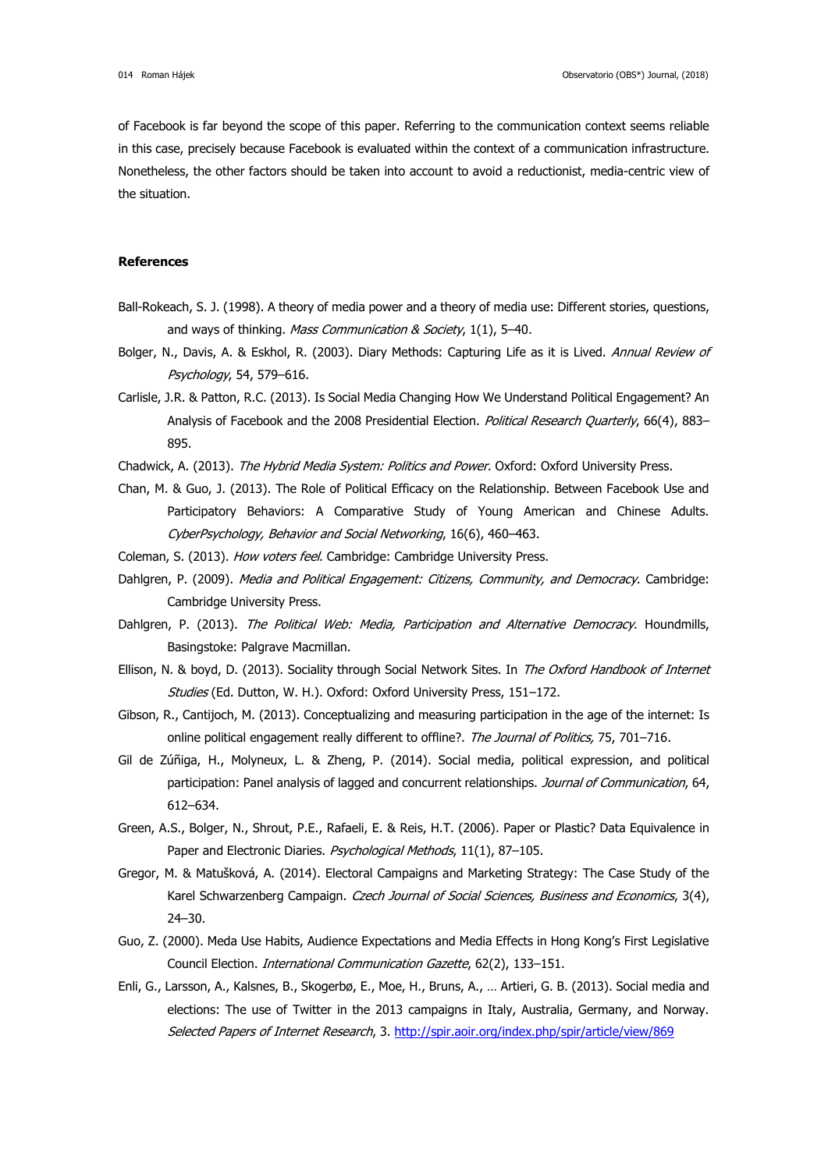of Facebook is far beyond the scope of this paper. Referring to the communication context seems reliable in this case, precisely because Facebook is evaluated within the context of a communication infrastructure. Nonetheless, the other factors should be taken into account to avoid a reductionist, media-centric view of the situation.

### **References**

- Ball-Rokeach, S. J. (1998). A theory of media power and a theory of media use: Different stories, questions, and ways of thinking. Mass Communication & Society, 1(1), 5-40.
- Bolger, N., Davis, A. & Eskhol, R. (2003). Diary Methods: Capturing Life as it is Lived. Annual Review of Psychology, 54, 579–616.
- Carlisle, J.R. & Patton, R.C. (2013). Is Social Media Changing How We Understand Political Engagement? An Analysis of Facebook and the 2008 Presidential Election. Political Research Quarterly, 66(4), 883-895.
- Chadwick, A. (2013). The Hybrid Media System: Politics and Power. Oxford: Oxford University Press.
- Chan, M. & Guo, J. (2013). The Role of Political Efficacy on the Relationship. Between Facebook Use and Participatory Behaviors: A Comparative Study of Young American and Chinese Adults. CyberPsychology, Behavior and Social Networking, 16(6), 460–463.
- Coleman, S. (2013). How voters feel. Cambridge: Cambridge University Press.
- Dahlgren, P. (2009). Media and Political Engagement: Citizens, Community, and Democracy. Cambridge: Cambridge University Press.
- Dahlgren, P. (2013). The Political Web: Media, Participation and Alternative Democracy. Houndmills, Basingstoke: Palgrave Macmillan.
- Ellison, N. & boyd, D. (2013). Sociality through Social Network Sites. In The Oxford Handbook of Internet Studies (Ed. Dutton, W. H.). Oxford: Oxford University Press, 151-172.
- Gibson, R., Cantijoch, M. (2013). Conceptualizing and measuring participation in the age of the internet: Is online political engagement really different to offline?. The Journal of Politics, 75, 701-716.
- Gil de Zúñiga, H., Molyneux, L. & Zheng, P. (2014). Social media, political expression, and political participation: Panel analysis of lagged and concurrent relationships. Journal of Communication, 64, 612–634.
- Green, A.S., Bolger, N., Shrout, P.E., Rafaeli, E. & Reis, H.T. (2006). Paper or Plastic? Data Equivalence in Paper and Electronic Diaries. Psychological Methods, 11(1), 87-105.
- Gregor, M. & Matušková, A. (2014). Electoral Campaigns and Marketing Strategy: The Case Study of the Karel Schwarzenberg Campaign. Czech Journal of Social Sciences, Business and Economics, 3(4), 24–30.
- Guo, Z. (2000). Meda Use Habits, Audience Expectations and Media Effects in Hong Kong's First Legislative Council Election. International Communication Gazette, 62(2), 133–151.
- Enli, G., Larsson, A., Kalsnes, B., Skogerbø, E., Moe, H., Bruns, A., … Artieri, G. B. (2013). Social media and elections: The use of Twitter in the 2013 campaigns in Italy, Australia, Germany, and Norway. Selected Papers of Internet Research, 3.<http://spir.aoir.org/index.php/spir/article/view/869>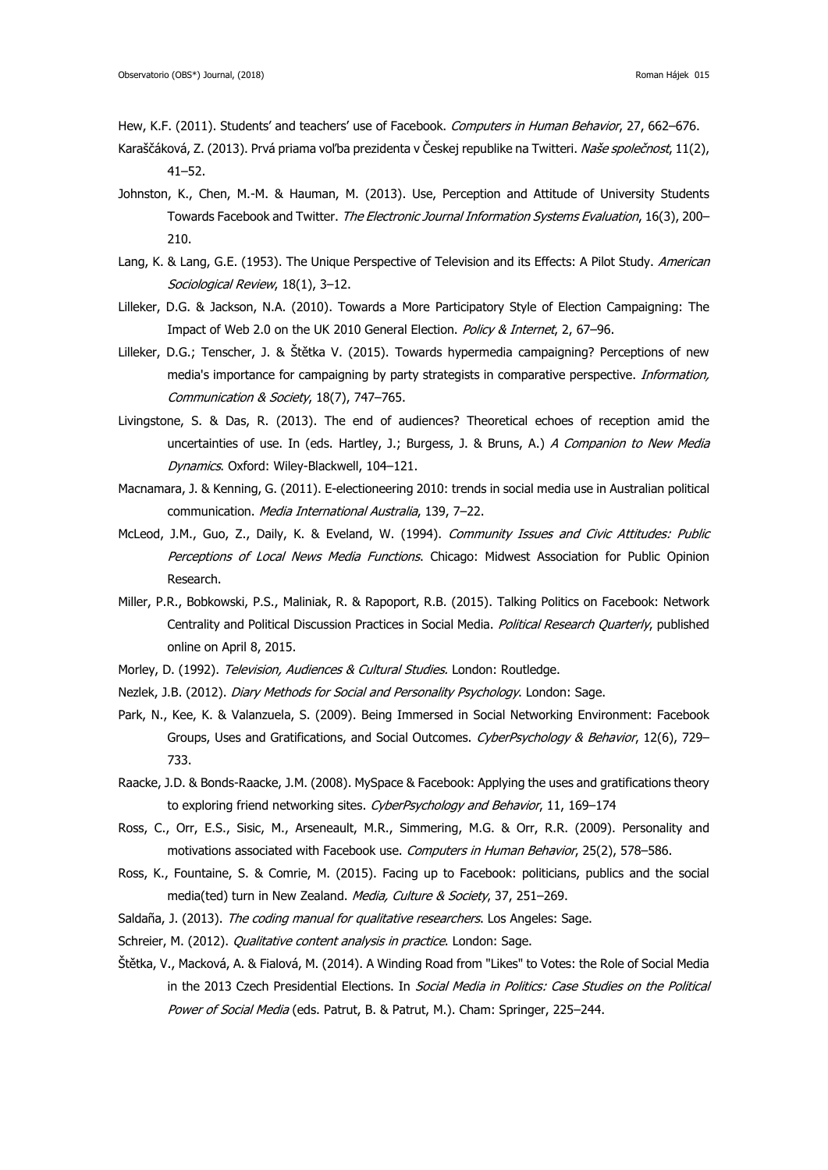Hew, K.F. (2011). Students' and teachers' use of Facebook. Computers in Human Behavior, 27, 662-676.

- Karaščáková, Z. (2013). Prvá priama voľba prezidenta v Českej republike na Twitteri. *Naše společnost,* 11(2), 41–52.
- Johnston, K., Chen, M.-M. & Hauman, M. (2013). Use, Perception and Attitude of University Students Towards Facebook and Twitter. The Electronic Journal Information Systems Evaluation, 16(3), 200-210.
- Lang, K. & Lang, G.E. (1953). The Unique Perspective of Television and its Effects: A Pilot Study. American Sociological Review, 18(1), 3–12.
- Lilleker, D.G. & Jackson, N.A. (2010). Towards a More Participatory Style of Election Campaigning: The Impact of Web 2.0 on the UK 2010 General Election. Policy & Internet, 2, 67-96.
- Lilleker, D.G.; Tenscher, J. & Štětka V. (2015). Towards hypermedia campaigning? Perceptions of new media's importance for campaigning by party strategists in comparative perspective. Information, Communication & Society, 18(7), 747–765.
- Livingstone, S. & Das, R. (2013). The end of audiences? Theoretical echoes of reception amid the uncertainties of use. In (eds. Hartley, J.; Burgess, J. & Bruns, A.) A Companion to New Media Dynamics. Oxford: Wiley-Blackwell, 104–121.
- Macnamara, J. & Kenning, G. (2011). E-electioneering 2010: trends in social media use in Australian political communication. Media International Australia, 139, 7–22.
- McLeod, J.M., Guo, Z., Daily, K. & Eveland, W. (1994). Community Issues and Civic Attitudes: Public Perceptions of Local News Media Functions. Chicago: Midwest Association for Public Opinion Research.
- Miller, P.R., Bobkowski, P.S., Maliniak, R. & Rapoport, R.B. (2015). Talking Politics on Facebook: Network Centrality and Political Discussion Practices in Social Media. Political Research Quarterly, published online on April 8, 2015.
- Morley, D. (1992). Television, Audiences & Cultural Studies. London: Routledge.
- Nezlek, J.B. (2012). Diary Methods for Social and Personality Psychology. London: Sage.
- Park, N., Kee, K. & Valanzuela, S. (2009). Being Immersed in Social Networking Environment: Facebook Groups, Uses and Gratifications, and Social Outcomes. CyberPsychology & Behavior, 12(6), 729-733.
- Raacke, J.D. & Bonds-Raacke, J.M. (2008). MySpace & Facebook: Applying the uses and gratifications theory to exploring friend networking sites. CyberPsychology and Behavior, 11, 169-174
- Ross, C., Orr, E.S., Sisic, M., Arseneault, M.R., Simmering, M.G. & Orr, R.R. (2009). Personality and motivations associated with Facebook use. Computers in Human Behavior, 25(2), 578-586.
- Ross, K., Fountaine, S. & Comrie, M. (2015). Facing up to Facebook: politicians, publics and the social media(ted) turn in New Zealand. Media, Culture & Society, 37, 251-269.
- Saldaña, J. (2013). The coding manual for qualitative researchers. Los Angeles: Sage.
- Schreier, M. (2012). Qualitative content analysis in practice. London: Sage.
- Štětka, V., Macková, A. & Fialová, M. (2014). A Winding Road from "Likes" to Votes: the Role of Social Media in the 2013 Czech Presidential Elections. In Social Media in Politics: Case Studies on the Political Power of Social Media (eds. Patrut, B. & Patrut, M.). Cham: Springer, 225-244.